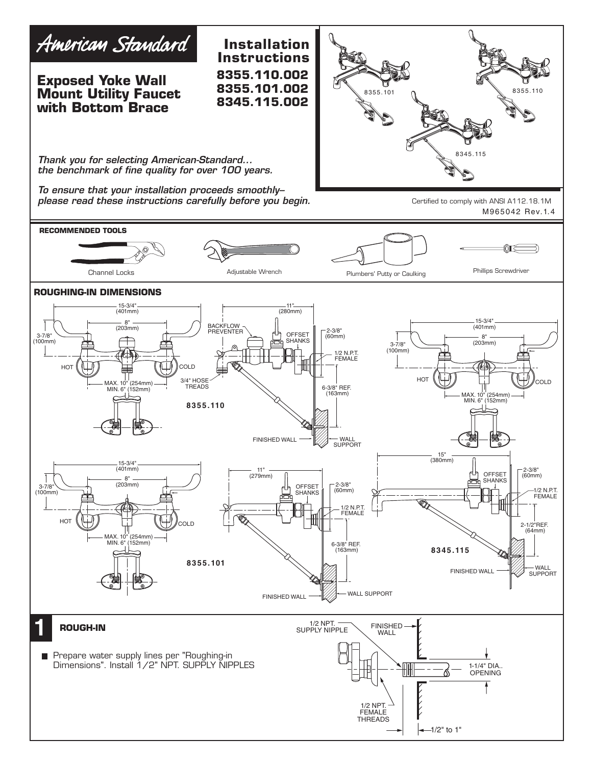